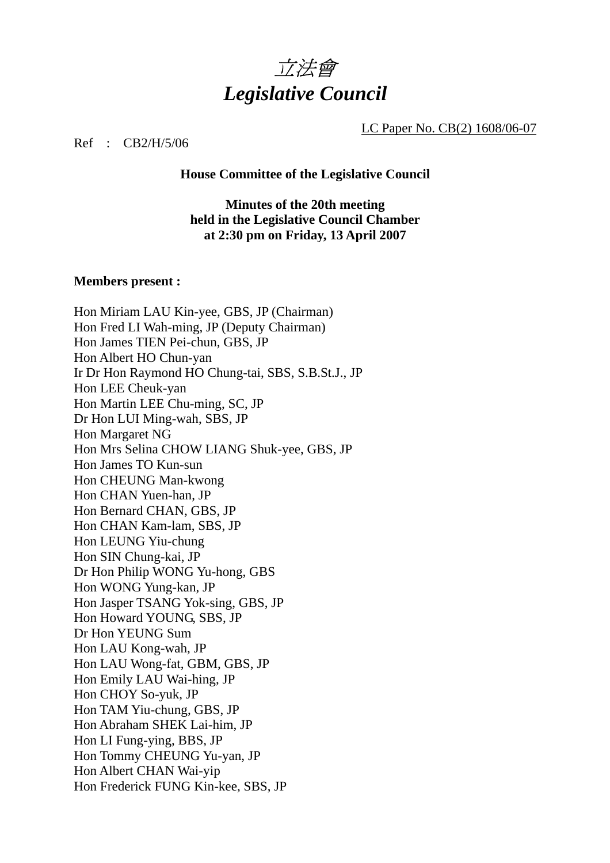

LC Paper No. CB(2) 1608/06-07

Ref : CB2/H/5/06

#### **House Committee of the Legislative Council**

### **Minutes of the 20th meeting held in the Legislative Council Chamber at 2:30 pm on Friday, 13 April 2007**

#### **Members present :**

Hon Miriam LAU Kin-yee, GBS, JP (Chairman) Hon Fred LI Wah-ming, JP (Deputy Chairman) Hon James TIEN Pei-chun, GBS, JP Hon Albert HO Chun-yan Ir Dr Hon Raymond HO Chung-tai, SBS, S.B.St.J., JP Hon LEE Cheuk-yan Hon Martin LEE Chu-ming, SC, JP Dr Hon LUI Ming-wah, SBS, JP Hon Margaret NG Hon Mrs Selina CHOW LIANG Shuk-yee, GBS, JP Hon James TO Kun-sun Hon CHEUNG Man-kwong Hon CHAN Yuen-han, JP Hon Bernard CHAN, GBS, JP Hon CHAN Kam-lam, SBS, JP Hon LEUNG Yiu-chung Hon SIN Chung-kai, JP Dr Hon Philip WONG Yu-hong, GBS Hon WONG Yung-kan, JP Hon Jasper TSANG Yok-sing, GBS, JP Hon Howard YOUNG, SBS, JP Dr Hon YEUNG Sum Hon LAU Kong-wah, JP Hon LAU Wong-fat, GBM, GBS, JP Hon Emily LAU Wai-hing, JP Hon CHOY So-yuk, JP Hon TAM Yiu-chung, GBS, JP Hon Abraham SHEK Lai-him, JP Hon LI Fung-ying, BBS, JP Hon Tommy CHEUNG Yu-yan, JP Hon Albert CHAN Wai-yip Hon Frederick FUNG Kin-kee, SBS, JP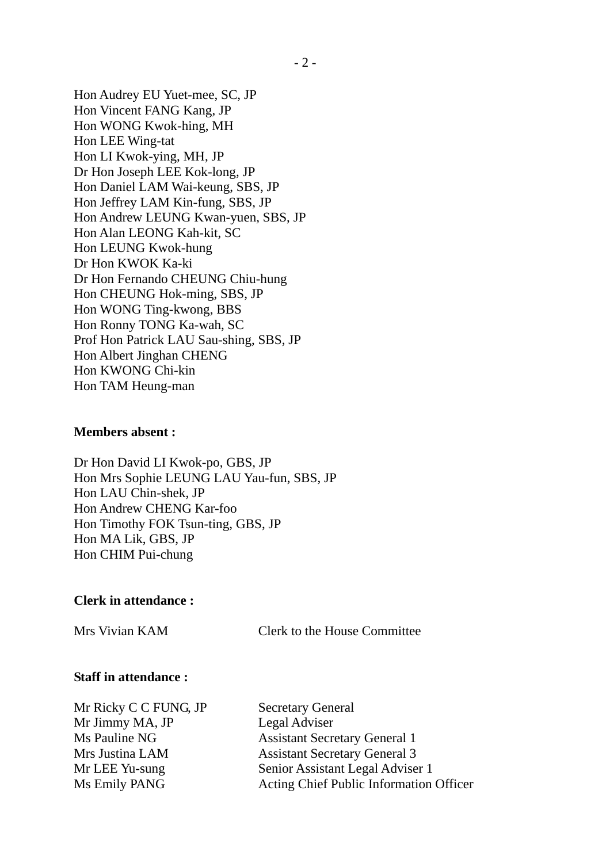Hon Audrey EU Yuet-mee, SC, JP Hon Vincent FANG Kang, JP Hon WONG Kwok-hing, MH Hon LEE Wing-tat Hon LI Kwok-ying, MH, JP Dr Hon Joseph LEE Kok-long, JP Hon Daniel LAM Wai-keung, SBS, JP Hon Jeffrey LAM Kin-fung, SBS, JP Hon Andrew LEUNG Kwan-yuen, SBS, JP Hon Alan LEONG Kah-kit, SC Hon LEUNG Kwok-hung Dr Hon KWOK Ka-ki Dr Hon Fernando CHEUNG Chiu-hung Hon CHEUNG Hok-ming, SBS, JP Hon WONG Ting-kwong, BBS Hon Ronny TONG Ka-wah, SC Prof Hon Patrick LAU Sau-shing, SBS, JP Hon Albert Jinghan CHENG Hon KWONG Chi-kin Hon TAM Heung-man

#### **Members absent :**

Dr Hon David LI Kwok-po, GBS, JP Hon Mrs Sophie LEUNG LAU Yau-fun, SBS, JP Hon LAU Chin-shek, JP Hon Andrew CHENG Kar-foo Hon Timothy FOK Tsun-ting, GBS, JP Hon MA Lik, GBS, JP Hon CHIM Pui-chung

### **Clerk in attendance :**

Mrs Vivian KAM Clerk to the House Committee

#### **Staff in attendance :**

| Mr Ricky C C FUNG, JP | <b>Secretary General</b>                |
|-----------------------|-----------------------------------------|
| Mr Jimmy MA, JP       | Legal Adviser                           |
| Ms Pauline NG         | <b>Assistant Secretary General 1</b>    |
| Mrs Justina LAM       | <b>Assistant Secretary General 3</b>    |
| Mr LEE Yu-sung        | Senior Assistant Legal Adviser 1        |
| Ms Emily PANG         | Acting Chief Public Information Officer |
|                       |                                         |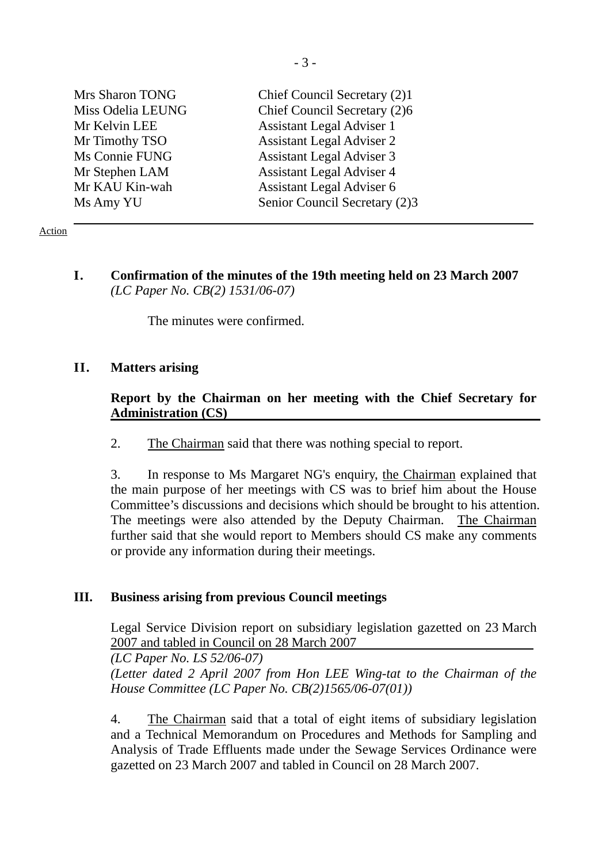| Mrs Sharon TONG   | Chief Council Secretary (2)1     |
|-------------------|----------------------------------|
| Miss Odelia LEUNG | Chief Council Secretary (2)6     |
| Mr Kelvin LEE     | <b>Assistant Legal Adviser 1</b> |
| Mr Timothy TSO    | <b>Assistant Legal Adviser 2</b> |
| Ms Connie FUNG    | <b>Assistant Legal Adviser 3</b> |
| Mr Stephen LAM    | <b>Assistant Legal Adviser 4</b> |
| Mr KAU Kin-wah    | <b>Assistant Legal Adviser 6</b> |
| Ms Amy YU         | Senior Council Secretary (2)3    |

Action

**I. Confirmation of the minutes of the 19th meeting held on 23 March 2007**  *(LC Paper No. CB(2) 1531/06-07)* 

The minutes were confirmed.

### **II. Matters arising**

### **Report by the Chairman on her meeting with the Chief Secretary for Administration (CS)**

2. The Chairman said that there was nothing special to report.

3. In response to Ms Margaret NG's enquiry, the Chairman explained that the main purpose of her meetings with CS was to brief him about the House Committee's discussions and decisions which should be brought to his attention. The meetings were also attended by the Deputy Chairman. The Chairman further said that she would report to Members should CS make any comments or provide any information during their meetings.

### **III. Business arising from previous Council meetings**

 Legal Service Division report on subsidiary legislation gazetted on 23 March 2007 and tabled in Council on 28 March 2007

*(LC Paper No. LS 52/06-07) (Letter dated 2 April 2007 from Hon LEE Wing-tat to the Chairman of the House Committee (LC Paper No. CB(2)1565/06-07(01))* 

4. The Chairman said that a total of eight items of subsidiary legislation and a Technical Memorandum on Procedures and Methods for Sampling and Analysis of Trade Effluents made under the Sewage Services Ordinance were gazetted on 23 March 2007 and tabled in Council on 28 March 2007.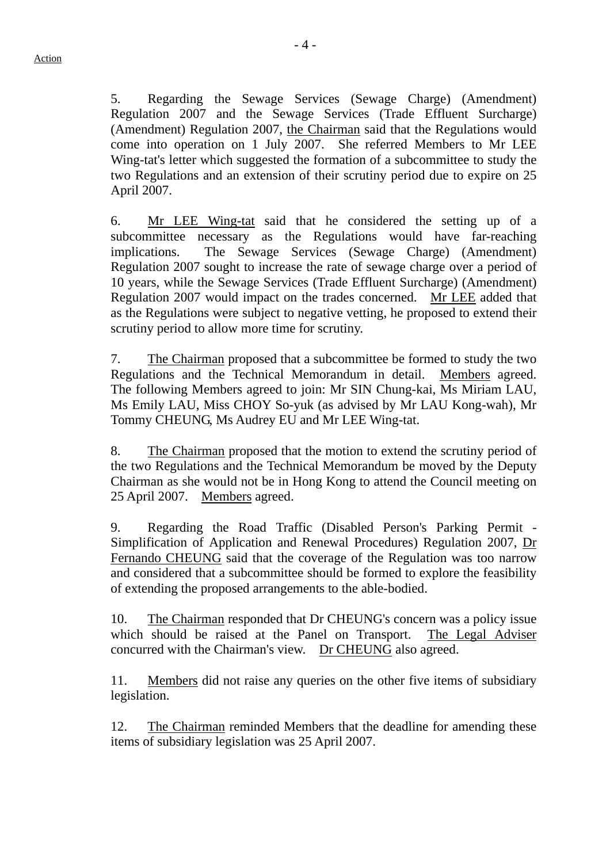5. Regarding the Sewage Services (Sewage Charge) (Amendment) Regulation 2007 and the Sewage Services (Trade Effluent Surcharge) (Amendment) Regulation 2007, the Chairman said that the Regulations would come into operation on 1 July 2007. She referred Members to Mr LEE Wing-tat's letter which suggested the formation of a subcommittee to study the two Regulations and an extension of their scrutiny period due to expire on 25 April 2007.

6. Mr LEE Wing-tat said that he considered the setting up of a subcommittee necessary as the Regulations would have far-reaching implications. The Sewage Services (Sewage Charge) (Amendment) Regulation 2007 sought to increase the rate of sewage charge over a period of 10 years, while the Sewage Services (Trade Effluent Surcharge) (Amendment) Regulation 2007 would impact on the trades concerned. Mr LEE added that as the Regulations were subject to negative vetting, he proposed to extend their scrutiny period to allow more time for scrutiny.

7. The Chairman proposed that a subcommittee be formed to study the two Regulations and the Technical Memorandum in detail. Members agreed. The following Members agreed to join: Mr SIN Chung-kai, Ms Miriam LAU, Ms Emily LAU, Miss CHOY So-yuk (as advised by Mr LAU Kong-wah), Mr Tommy CHEUNG, Ms Audrey EU and Mr LEE Wing-tat.

8. The Chairman proposed that the motion to extend the scrutiny period of the two Regulations and the Technical Memorandum be moved by the Deputy Chairman as she would not be in Hong Kong to attend the Council meeting on 25 April 2007. Members agreed.

9. Regarding the Road Traffic (Disabled Person's Parking Permit - Simplification of Application and Renewal Procedures) Regulation 2007, Dr Fernando CHEUNG said that the coverage of the Regulation was too narrow and considered that a subcommittee should be formed to explore the feasibility of extending the proposed arrangements to the able-bodied.

10. The Chairman responded that Dr CHEUNG's concern was a policy issue which should be raised at the Panel on Transport. The Legal Adviser concurred with the Chairman's view. Dr CHEUNG also agreed.

11. Members did not raise any queries on the other five items of subsidiary legislation.

12. The Chairman reminded Members that the deadline for amending these items of subsidiary legislation was 25 April 2007.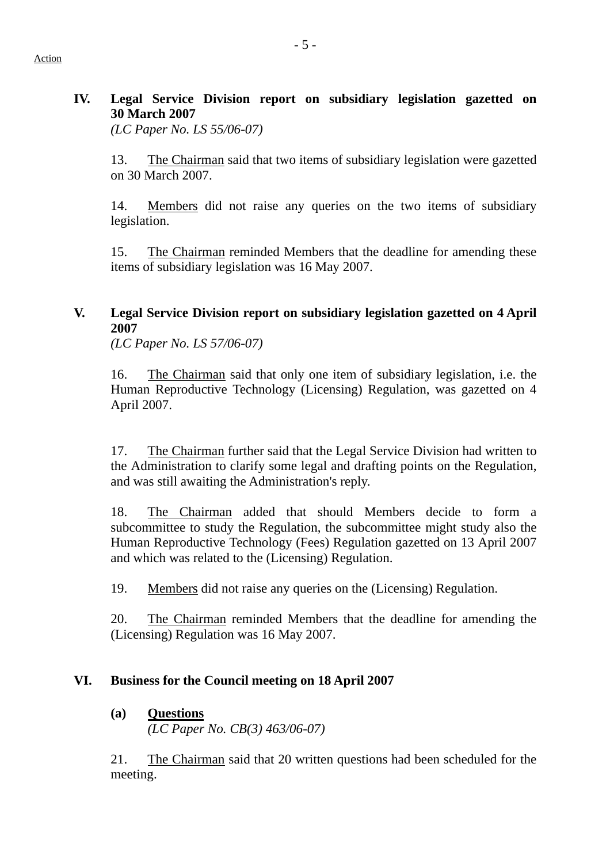## **IV. Legal Service Division report on subsidiary legislation gazetted on 30 March 2007**

*(LC Paper No. LS 55/06-07)* 

13. The Chairman said that two items of subsidiary legislation were gazetted on 30 March 2007.

14. Members did not raise any queries on the two items of subsidiary legislation.

15. The Chairman reminded Members that the deadline for amending these items of subsidiary legislation was 16 May 2007.

## **V. Legal Service Division report on subsidiary legislation gazetted on 4 April 2007**

 *(LC Paper No. LS 57/06-07)* 

16. The Chairman said that only one item of subsidiary legislation, i.e. the Human Reproductive Technology (Licensing) Regulation, was gazetted on 4 April 2007.

17. The Chairman further said that the Legal Service Division had written to the Administration to clarify some legal and drafting points on the Regulation, and was still awaiting the Administration's reply.

18. The Chairman added that should Members decide to form a subcommittee to study the Regulation, the subcommittee might study also the Human Reproductive Technology (Fees) Regulation gazetted on 13 April 2007 and which was related to the (Licensing) Regulation.

19. Members did not raise any queries on the (Licensing) Regulation.

20. The Chairman reminded Members that the deadline for amending the (Licensing) Regulation was 16 May 2007.

## **VI. Business for the Council meeting on 18 April 2007**

### **(a) Questions**

*(LC Paper No. CB(3) 463/06-07)* 

21. The Chairman said that 20 written questions had been scheduled for the meeting.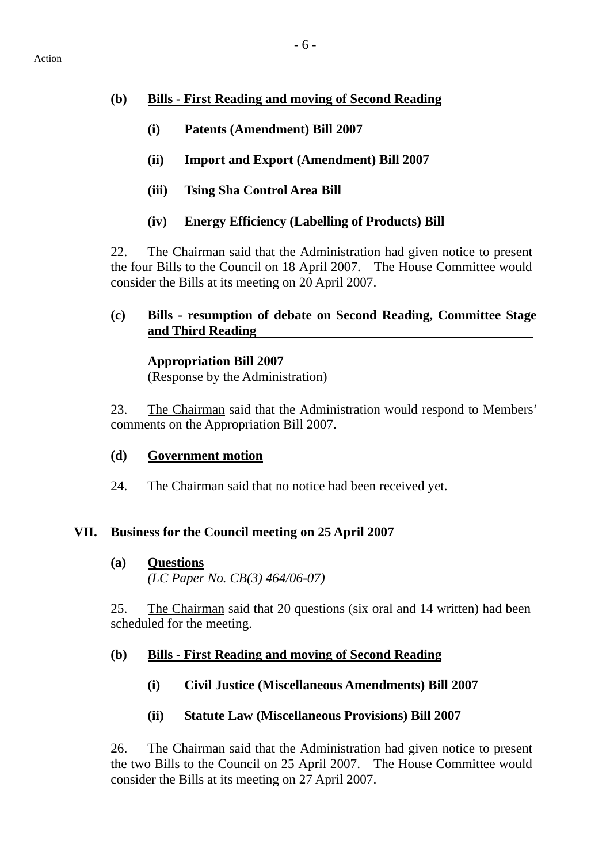### **(b) Bills - First Reading and moving of Second Reading**

- **(i) Patents (Amendment) Bill 2007**
- **(ii) Import and Export (Amendment) Bill 2007**
- **(iii) Tsing Sha Control Area Bill**
- **(iv) Energy Efficiency (Labelling of Products) Bill**

22. The Chairman said that the Administration had given notice to present the four Bills to the Council on 18 April 2007. The House Committee would consider the Bills at its meeting on 20 April 2007.

### **(c) Bills - resumption of debate on Second Reading, Committee Stage and Third Reading**

 **Appropriation Bill 2007** 

(Response by the Administration)

23. The Chairman said that the Administration would respond to Members' comments on the Appropriation Bill 2007.

- **(d) Government motion**
- 24. The Chairman said that no notice had been received yet.

### **VII. Business for the Council meeting on 25 April 2007**

**(a) Questions** *(LC Paper No. CB(3) 464/06-07)* 

25. The Chairman said that 20 questions (six oral and 14 written) had been scheduled for the meeting.

### **(b) Bills - First Reading and moving of Second Reading**

- **(i) Civil Justice (Miscellaneous Amendments) Bill 2007**
- **(ii) Statute Law (Miscellaneous Provisions) Bill 2007**

26. The Chairman said that the Administration had given notice to present the two Bills to the Council on 25 April 2007. The House Committee would consider the Bills at its meeting on 27 April 2007.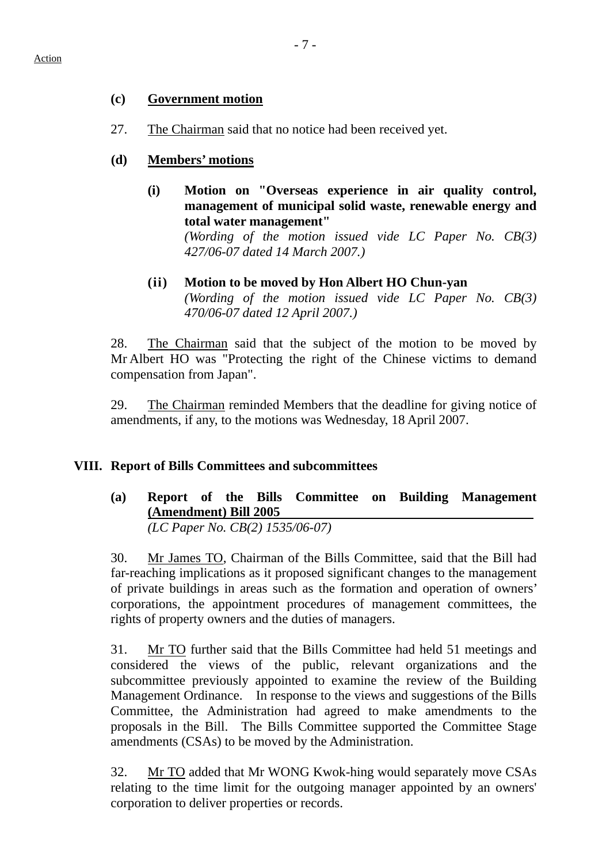### **(c) Government motion**

- 27. The Chairman said that no notice had been received yet.
- **(d) Members' motions**
	- **(i) Motion on "Overseas experience in air quality control, management of municipal solid waste, renewable energy and total water management"**

*(Wording of the motion issued vide LC Paper No. CB(3) 427/06-07 dated 14 March 2007.)* 

**(ii) Motion to be moved by Hon Albert HO Chun-yan** *(Wording of the motion issued vide LC Paper No. CB(3) 470/06-07 dated 12 April 2007.)* 

28. The Chairman said that the subject of the motion to be moved by Mr Albert HO was "Protecting the right of the Chinese victims to demand compensation from Japan".

29. The Chairman reminded Members that the deadline for giving notice of amendments, if any, to the motions was Wednesday, 18 April 2007.

### **VIII. Report of Bills Committees and subcommittees**

**(a) Report of the Bills Committee on Building Management (Amendment) Bill 2005**  *(LC Paper No. CB(2) 1535/06-07)* 

30. Mr James TO, Chairman of the Bills Committee, said that the Bill had far-reaching implications as it proposed significant changes to the management of private buildings in areas such as the formation and operation of owners' corporations, the appointment procedures of management committees, the rights of property owners and the duties of managers.

31. Mr TO further said that the Bills Committee had held 51 meetings and considered the views of the public, relevant organizations and the subcommittee previously appointed to examine the review of the Building Management Ordinance. In response to the views and suggestions of the Bills Committee, the Administration had agreed to make amendments to the proposals in the Bill. The Bills Committee supported the Committee Stage amendments (CSAs) to be moved by the Administration.

32. Mr TO added that Mr WONG Kwok-hing would separately move CSAs relating to the time limit for the outgoing manager appointed by an owners' corporation to deliver properties or records.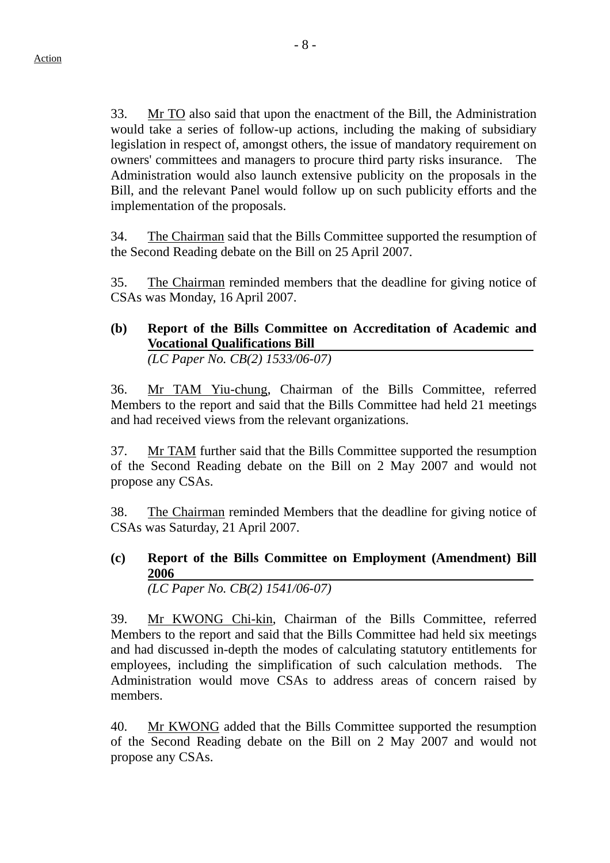33. Mr TO also said that upon the enactment of the Bill, the Administration would take a series of follow-up actions, including the making of subsidiary legislation in respect of, amongst others, the issue of mandatory requirement on owners' committees and managers to procure third party risks insurance. The Administration would also launch extensive publicity on the proposals in the Bill, and the relevant Panel would follow up on such publicity efforts and the implementation of the proposals.

34. The Chairman said that the Bills Committee supported the resumption of the Second Reading debate on the Bill on 25 April 2007.

35. The Chairman reminded members that the deadline for giving notice of CSAs was Monday, 16 April 2007.

# **(b) Report of the Bills Committee on Accreditation of Academic and Vocational Qualifications Bill**

*(LC Paper No. CB(2) 1533/06-07)*

36. Mr TAM Yiu-chung, Chairman of the Bills Committee, referred Members to the report and said that the Bills Committee had held 21 meetings and had received views from the relevant organizations.

37. Mr TAM further said that the Bills Committee supported the resumption of the Second Reading debate on the Bill on 2 May 2007 and would not propose any CSAs.

38. The Chairman reminded Members that the deadline for giving notice of CSAs was Saturday, 21 April 2007.

#### **(c) Report of the Bills Committee on Employment (Amendment) Bill 2006**  *(LC Paper No. CB(2) 1541/06-07)*

39. Mr KWONG Chi-kin, Chairman of the Bills Committee, referred Members to the report and said that the Bills Committee had held six meetings and had discussed in-depth the modes of calculating statutory entitlements for employees, including the simplification of such calculation methods. The Administration would move CSAs to address areas of concern raised by members.

40. Mr KWONG added that the Bills Committee supported the resumption of the Second Reading debate on the Bill on 2 May 2007 and would not propose any CSAs.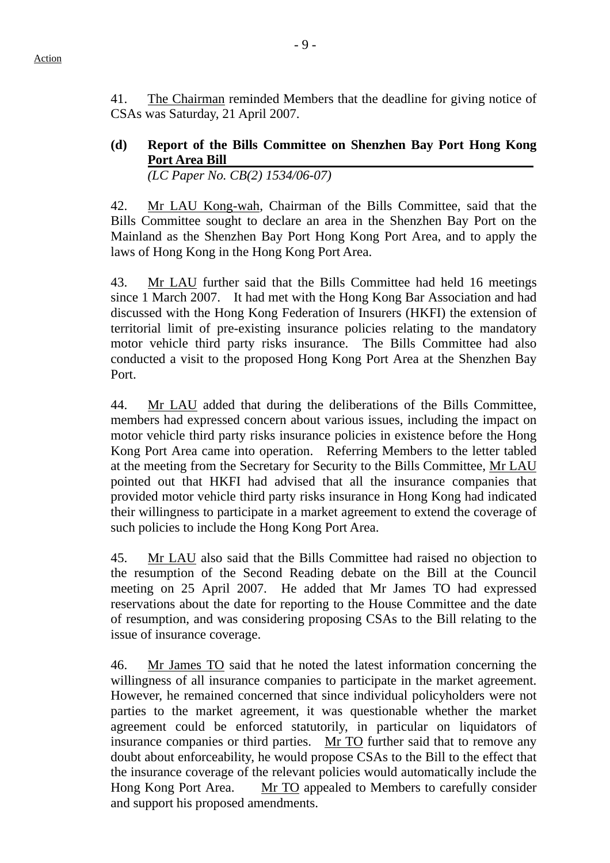41. The Chairman reminded Members that the deadline for giving notice of CSAs was Saturday, 21 April 2007.

**(d) Report of the Bills Committee on Shenzhen Bay Port Hong Kong Port Area Bill**  *(LC Paper No. CB(2) 1534/06-07)* 

42. Mr LAU Kong-wah, Chairman of the Bills Committee, said that the Bills Committee sought to declare an area in the Shenzhen Bay Port on the Mainland as the Shenzhen Bay Port Hong Kong Port Area, and to apply the laws of Hong Kong in the Hong Kong Port Area.

43. Mr LAU further said that the Bills Committee had held 16 meetings since 1 March 2007. It had met with the Hong Kong Bar Association and had discussed with the Hong Kong Federation of Insurers (HKFI) the extension of territorial limit of pre-existing insurance policies relating to the mandatory motor vehicle third party risks insurance. The Bills Committee had also conducted a visit to the proposed Hong Kong Port Area at the Shenzhen Bay Port.

44. Mr LAU added that during the deliberations of the Bills Committee, members had expressed concern about various issues, including the impact on motor vehicle third party risks insurance policies in existence before the Hong Kong Port Area came into operation. Referring Members to the letter tabled at the meeting from the Secretary for Security to the Bills Committee, Mr LAU pointed out that HKFI had advised that all the insurance companies that provided motor vehicle third party risks insurance in Hong Kong had indicated their willingness to participate in a market agreement to extend the coverage of such policies to include the Hong Kong Port Area.

45. Mr LAU also said that the Bills Committee had raised no objection to the resumption of the Second Reading debate on the Bill at the Council meeting on 25 April 2007. He added that Mr James TO had expressed reservations about the date for reporting to the House Committee and the date of resumption, and was considering proposing CSAs to the Bill relating to the issue of insurance coverage.

46. Mr James TO said that he noted the latest information concerning the willingness of all insurance companies to participate in the market agreement. However, he remained concerned that since individual policyholders were not parties to the market agreement, it was questionable whether the market agreement could be enforced statutorily, in particular on liquidators of insurance companies or third parties. Mr TO further said that to remove any doubt about enforceability, he would propose CSAs to the Bill to the effect that the insurance coverage of the relevant policies would automatically include the Hong Kong Port Area. Mr TO appealed to Members to carefully consider and support his proposed amendments.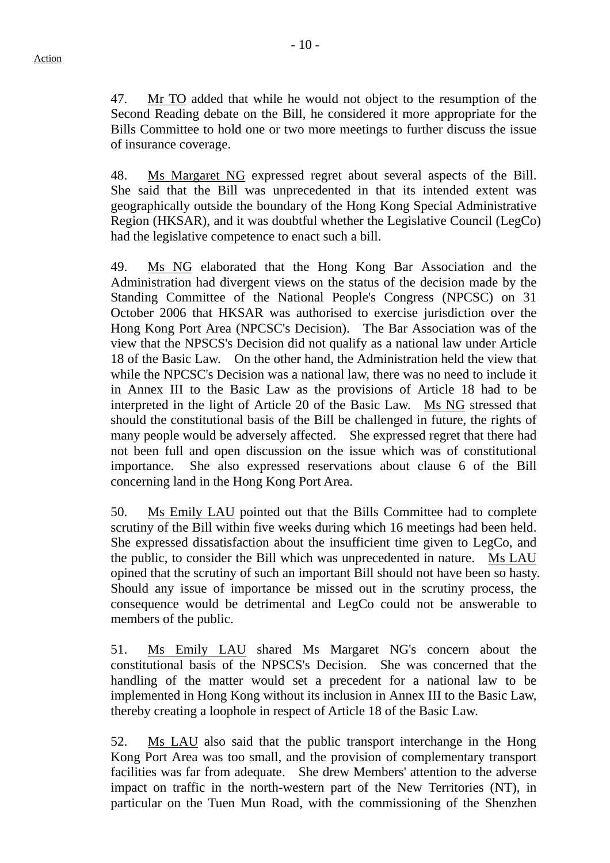47. Mr TO added that while he would not object to the resumption of the Second Reading debate on the Bill, he considered it more appropriate for the Bills Committee to hold one or two more meetings to further discuss the issue of insurance coverage.

48. Ms Margaret NG expressed regret about several aspects of the Bill. She said that the Bill was unprecedented in that its intended extent was geographically outside the boundary of the Hong Kong Special Administrative Region (HKSAR), and it was doubtful whether the Legislative Council (LegCo) had the legislative competence to enact such a bill.

49. Ms NG elaborated that the Hong Kong Bar Association and the Administration had divergent views on the status of the decision made by the Standing Committee of the National People's Congress (NPCSC) on 31 October 2006 that HKSAR was authorised to exercise jurisdiction over the Hong Kong Port Area (NPCSC's Decision). The Bar Association was of the view that the NPSCS's Decision did not qualify as a national law under Article 18 of the Basic Law. On the other hand, the Administration held the view that while the NPCSC's Decision was a national law, there was no need to include it in Annex III to the Basic Law as the provisions of Article 18 had to be interpreted in the light of Article 20 of the Basic Law. Ms NG stressed that should the constitutional basis of the Bill be challenged in future, the rights of many people would be adversely affected. She expressed regret that there had not been full and open discussion on the issue which was of constitutional importance. She also expressed reservations about clause 6 of the Bill concerning land in the Hong Kong Port Area.

50. Ms Emily LAU pointed out that the Bills Committee had to complete scrutiny of the Bill within five weeks during which 16 meetings had been held. She expressed dissatisfaction about the insufficient time given to LegCo, and the public, to consider the Bill which was unprecedented in nature. Ms LAU opined that the scrutiny of such an important Bill should not have been so hasty. Should any issue of importance be missed out in the scrutiny process, the consequence would be detrimental and LegCo could not be answerable to members of the public.

51. Ms Emily LAU shared Ms Margaret NG's concern about the constitutional basis of the NPSCS's Decision. She was concerned that the handling of the matter would set a precedent for a national law to be implemented in Hong Kong without its inclusion in Annex III to the Basic Law, thereby creating a loophole in respect of Article 18 of the Basic Law.

52. Ms LAU also said that the public transport interchange in the Hong Kong Port Area was too small, and the provision of complementary transport facilities was far from adequate. She drew Members' attention to the adverse impact on traffic in the north-western part of the New Territories (NT), in particular on the Tuen Mun Road, with the commissioning of the Shenzhen